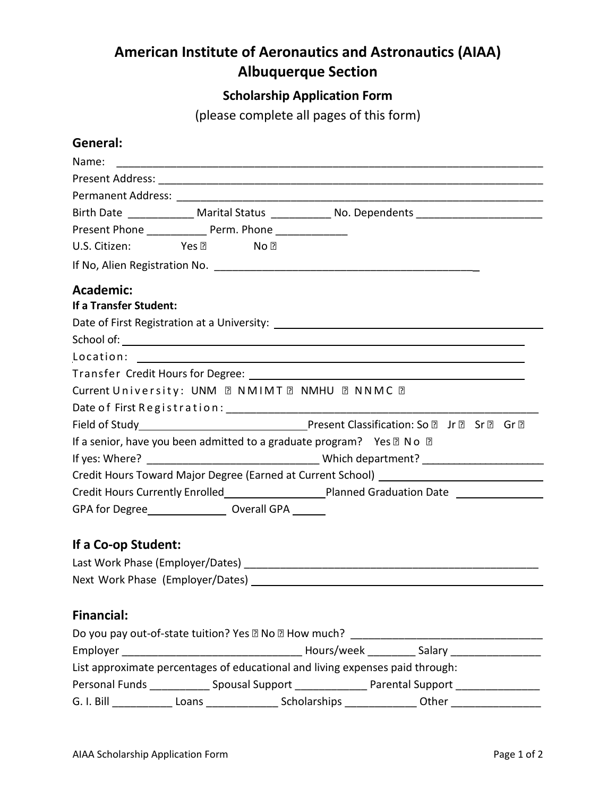## **American Institute of Aeronautics and Astronautics (AIAA) Albuquerque Section**

## **Scholarship Application Form**

(please complete all pages of this form)

## **General:**

| Birth Date _____________ Marital Status ____________ No. Dependents _________________________                                                                                                                                  |  |  |  |                                                                                   |  |
|--------------------------------------------------------------------------------------------------------------------------------------------------------------------------------------------------------------------------------|--|--|--|-----------------------------------------------------------------------------------|--|
| Present Phone _______________ Perm. Phone _______________                                                                                                                                                                      |  |  |  |                                                                                   |  |
| U.S. Citizen: Yes a No ?                                                                                                                                                                                                       |  |  |  |                                                                                   |  |
|                                                                                                                                                                                                                                |  |  |  |                                                                                   |  |
| <b>Academic:</b>                                                                                                                                                                                                               |  |  |  |                                                                                   |  |
| If a Transfer Student:                                                                                                                                                                                                         |  |  |  |                                                                                   |  |
|                                                                                                                                                                                                                                |  |  |  |                                                                                   |  |
|                                                                                                                                                                                                                                |  |  |  |                                                                                   |  |
|                                                                                                                                                                                                                                |  |  |  |                                                                                   |  |
|                                                                                                                                                                                                                                |  |  |  |                                                                                   |  |
| Current University: UNM 2 NMIMT 2 NMHU 2 NNMC 2                                                                                                                                                                                |  |  |  |                                                                                   |  |
|                                                                                                                                                                                                                                |  |  |  |                                                                                   |  |
| Field of Study<br>Field of Study <u> Cassification</u> : So <b>D</b> Jr <b>D</b> Sr <b>D</b> Gr <b>D</b>                                                                                                                       |  |  |  |                                                                                   |  |
| If a senior, have you been admitted to a graduate program? Yes 2 No 2                                                                                                                                                          |  |  |  |                                                                                   |  |
|                                                                                                                                                                                                                                |  |  |  |                                                                                   |  |
| Credit Hours Toward Major Degree (Earned at Current School) ____________________                                                                                                                                               |  |  |  |                                                                                   |  |
|                                                                                                                                                                                                                                |  |  |  |                                                                                   |  |
| GPA for Degree Management Coverall GPA Management Coveral CPA Management CPA Management CPA Management CPA Management CPA Management CPA Management CPA Management CPA Management CPA Management CPA Management CPA Management |  |  |  |                                                                                   |  |
| If a Co-op Student:                                                                                                                                                                                                            |  |  |  |                                                                                   |  |
|                                                                                                                                                                                                                                |  |  |  |                                                                                   |  |
|                                                                                                                                                                                                                                |  |  |  |                                                                                   |  |
|                                                                                                                                                                                                                                |  |  |  |                                                                                   |  |
| <b>Financial:</b>                                                                                                                                                                                                              |  |  |  |                                                                                   |  |
| Do you pay out-of-state tuition? Yes 2 No 2 How much? ___________________________                                                                                                                                              |  |  |  |                                                                                   |  |
|                                                                                                                                                                                                                                |  |  |  |                                                                                   |  |
| List approximate percentages of educational and living expenses paid through:                                                                                                                                                  |  |  |  |                                                                                   |  |
| Personal Funds _______________ Spousal Support __________________ Parental Support ________________                                                                                                                            |  |  |  |                                                                                   |  |
| G. I. Bill and the state of the state of the state of the state of the state of the state of the state of the                                                                                                                  |  |  |  | Loans _______________________ Scholarships ___________________ Other ____________ |  |